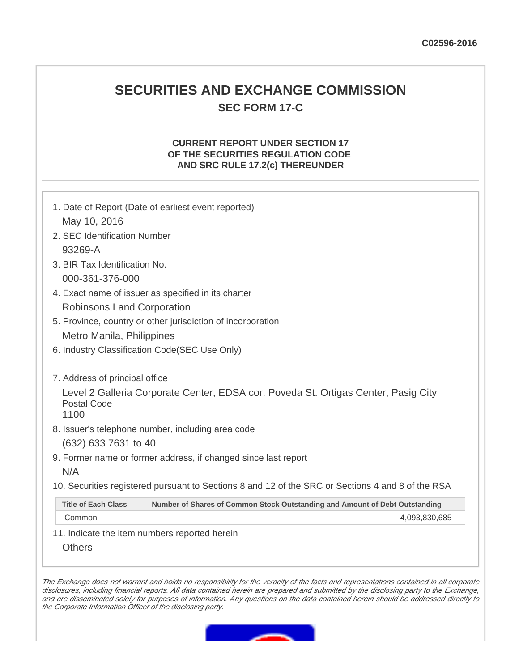# **SECURITIES AND EXCHANGE COMMISSION SEC FORM 17-C**

### **CURRENT REPORT UNDER SECTION 17 OF THE SECURITIES REGULATION CODE AND SRC RULE 17.2(c) THEREUNDER**

|                                                             | 1. Date of Report (Date of earliest event reported)                                               |  |  |  |
|-------------------------------------------------------------|---------------------------------------------------------------------------------------------------|--|--|--|
| May 10, 2016                                                |                                                                                                   |  |  |  |
| 2. SEC Identification Number                                |                                                                                                   |  |  |  |
| 93269-A                                                     |                                                                                                   |  |  |  |
| 3. BIR Tax Identification No.                               |                                                                                                   |  |  |  |
| 000-361-376-000                                             |                                                                                                   |  |  |  |
| 4. Exact name of issuer as specified in its charter         |                                                                                                   |  |  |  |
| Robinsons Land Corporation                                  |                                                                                                   |  |  |  |
| 5. Province, country or other jurisdiction of incorporation |                                                                                                   |  |  |  |
| Metro Manila, Philippines                                   |                                                                                                   |  |  |  |
|                                                             | 6. Industry Classification Code(SEC Use Only)                                                     |  |  |  |
|                                                             |                                                                                                   |  |  |  |
| 7. Address of principal office                              |                                                                                                   |  |  |  |
| <b>Postal Code</b>                                          | Level 2 Galleria Corporate Center, EDSA cor. Poveda St. Ortigas Center, Pasig City                |  |  |  |
| 1100                                                        |                                                                                                   |  |  |  |
|                                                             | 8. Issuer's telephone number, including area code                                                 |  |  |  |
| (632) 633 7631 to 40                                        |                                                                                                   |  |  |  |
|                                                             | 9. Former name or former address, if changed since last report                                    |  |  |  |
| N/A                                                         |                                                                                                   |  |  |  |
|                                                             | 10. Securities registered pursuant to Sections 8 and 12 of the SRC or Sections 4 and 8 of the RSA |  |  |  |
| <b>Title of Each Class</b>                                  | Number of Shares of Common Stock Outstanding and Amount of Debt Outstanding                       |  |  |  |
| Common                                                      | 4,093,830,685                                                                                     |  |  |  |
|                                                             | 11. Indicate the item numbers reported herein                                                     |  |  |  |

**Others** 

The Exchange does not warrant and holds no responsibility for the veracity of the facts and representations contained in all corporate disclosures, including financial reports. All data contained herein are prepared and submitted by the disclosing party to the Exchange, and are disseminated solely for purposes of information. Any questions on the data contained herein should be addressed directly to the Corporate Information Officer of the disclosing party.

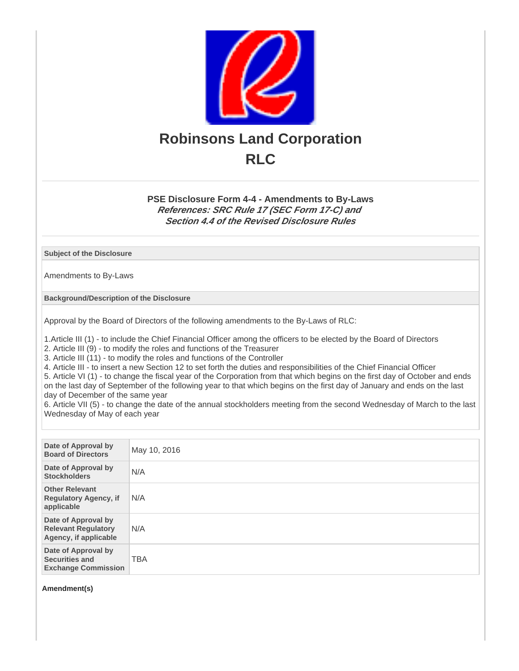

# **PSE Disclosure Form 4-4 - Amendments to By-Laws References: SRC Rule 17 (SEC Form 17-C) and Section 4.4 of the Revised Disclosure Rules**

#### **Subject of the Disclosure**

Amendments to By-Laws

**Background/Description of the Disclosure**

Approval by the Board of Directors of the following amendments to the By-Laws of RLC:

1.Article III (1) - to include the Chief Financial Officer among the officers to be elected by the Board of Directors

2. Article III (9) - to modify the roles and functions of the Treasurer

3. Article III (11) - to modify the roles and functions of the Controller

4. Article III - to insert a new Section 12 to set forth the duties and responsibilities of the Chief Financial Officer

5. Article VI (1) - to change the fiscal year of the Corporation from that which begins on the first day of October and ends on the last day of September of the following year to that which begins on the first day of January and ends on the last day of December of the same year

6. Article VII (5) - to change the date of the annual stockholders meeting from the second Wednesday of March to the last Wednesday of May of each year

| Date of Approval by<br><b>Board of Directors</b>                           | May 10, 2016 |
|----------------------------------------------------------------------------|--------------|
| Date of Approval by<br><b>Stockholders</b>                                 | N/A          |
| <b>Other Relevant</b><br><b>Regulatory Agency, if</b><br>applicable        | N/A          |
| Date of Approval by<br><b>Relevant Regulatory</b><br>Agency, if applicable | N/A          |
| Date of Approval by<br><b>Securities and</b><br><b>Exchange Commission</b> | <b>TBA</b>   |

**Amendment(s)**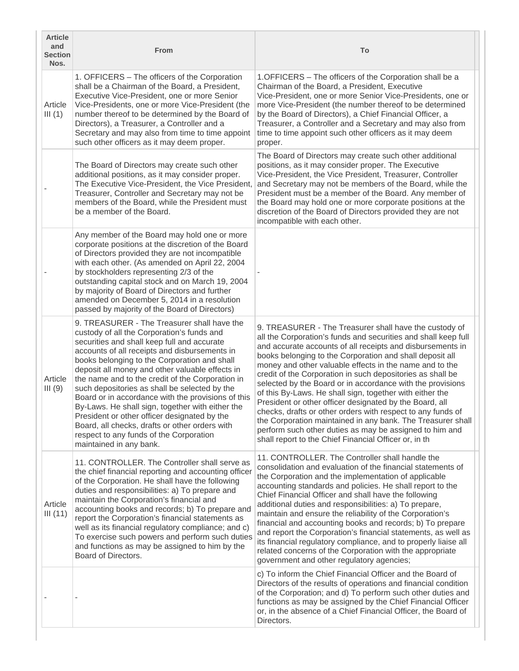| <b>Article</b><br>and<br><b>Section</b><br>Nos. | From                                                                                                                                                                                                                                                                                                                                                                                                                                                                                                                                                                                                                                                                                | To                                                                                                                                                                                                                                                                                                                                                                                                                                                                                                                                                                                                                                                                                                                                                                                                                 |
|-------------------------------------------------|-------------------------------------------------------------------------------------------------------------------------------------------------------------------------------------------------------------------------------------------------------------------------------------------------------------------------------------------------------------------------------------------------------------------------------------------------------------------------------------------------------------------------------------------------------------------------------------------------------------------------------------------------------------------------------------|--------------------------------------------------------------------------------------------------------------------------------------------------------------------------------------------------------------------------------------------------------------------------------------------------------------------------------------------------------------------------------------------------------------------------------------------------------------------------------------------------------------------------------------------------------------------------------------------------------------------------------------------------------------------------------------------------------------------------------------------------------------------------------------------------------------------|
| Article<br>III(1)                               | 1. OFFICERS - The officers of the Corporation<br>shall be a Chairman of the Board, a President,<br>Executive Vice-President, one or more Senior<br>Vice-Presidents, one or more Vice-President (the<br>number thereof to be determined by the Board of<br>Directors), a Treasurer, a Controller and a<br>Secretary and may also from time to time appoint<br>such other officers as it may deem proper.                                                                                                                                                                                                                                                                             | 1. OFFICERS - The officers of the Corporation shall be a<br>Chairman of the Board, a President, Executive<br>Vice-President, one or more Senior Vice-Presidents, one or<br>more Vice-President (the number thereof to be determined<br>by the Board of Directors), a Chief Financial Officer, a<br>Treasurer, a Controller and a Secretary and may also from<br>time to time appoint such other officers as it may deem<br>proper.                                                                                                                                                                                                                                                                                                                                                                                 |
|                                                 | The Board of Directors may create such other<br>additional positions, as it may consider proper.<br>The Executive Vice-President, the Vice President,<br>Treasurer, Controller and Secretary may not be<br>members of the Board, while the President must<br>be a member of the Board.                                                                                                                                                                                                                                                                                                                                                                                              | The Board of Directors may create such other additional<br>positions, as it may consider proper. The Executive<br>Vice-President, the Vice President, Treasurer, Controller<br>and Secretary may not be members of the Board, while the<br>President must be a member of the Board. Any member of<br>the Board may hold one or more corporate positions at the<br>discretion of the Board of Directors provided they are not<br>incompatible with each other.                                                                                                                                                                                                                                                                                                                                                      |
|                                                 | Any member of the Board may hold one or more<br>corporate positions at the discretion of the Board<br>of Directors provided they are not incompatible<br>with each other. (As amended on April 22, 2004<br>by stockholders representing 2/3 of the<br>outstanding capital stock and on March 19, 2004<br>by majority of Board of Directors and further<br>amended on December 5, 2014 in a resolution<br>passed by majority of the Board of Directors)                                                                                                                                                                                                                              |                                                                                                                                                                                                                                                                                                                                                                                                                                                                                                                                                                                                                                                                                                                                                                                                                    |
| Article<br>III(9)                               | 9. TREASURER - The Treasurer shall have the<br>custody of all the Corporation's funds and<br>securities and shall keep full and accurate<br>accounts of all receipts and disbursements in<br>books belonging to the Corporation and shall<br>deposit all money and other valuable effects in<br>the name and to the credit of the Corporation in<br>such depositories as shall be selected by the<br>Board or in accordance with the provisions of this<br>By-Laws. He shall sign, together with either the<br>President or other officer designated by the<br>Board, all checks, drafts or other orders with<br>respect to any funds of the Corporation<br>maintained in any bank. | 9. TREASURER - The Treasurer shall have the custody of<br>all the Corporation's funds and securities and shall keep full<br>and accurate accounts of all receipts and disbursements in<br>books belonging to the Corporation and shall deposit all<br>money and other valuable effects in the name and to the<br>credit of the Corporation in such depositories as shall be<br>selected by the Board or in accordance with the provisions<br>of this By-Laws. He shall sign, together with either the<br>President or other officer designated by the Board, all<br>checks, drafts or other orders with respect to any funds of<br>the Corporation maintained in any bank. The Treasurer shall<br>perform such other duties as may be assigned to him and<br>shall report to the Chief Financial Officer or, in th |
| Article<br>III(11)                              | 11. CONTROLLER. The Controller shall serve as<br>the chief financial reporting and accounting officer<br>of the Corporation. He shall have the following<br>duties and responsibilities: a) To prepare and<br>maintain the Corporation's financial and<br>accounting books and records; b) To prepare and<br>report the Corporation's financial statements as<br>well as its financial regulatory compliance; and c)<br>To exercise such powers and perform such duties<br>and functions as may be assigned to him by the<br>Board of Directors.                                                                                                                                    | 11. CONTROLLER. The Controller shall handle the<br>consolidation and evaluation of the financial statements of<br>the Corporation and the implementation of applicable<br>accounting standards and policies. He shall report to the<br>Chief Financial Officer and shall have the following<br>additional duties and responsibilities: a) To prepare,<br>maintain and ensure the reliability of the Corporation's<br>financial and accounting books and records; b) To prepare<br>and report the Corporation's financial statements, as well as<br>its financial regulatory compliance, and to properly liaise all<br>related concerns of the Corporation with the appropriate<br>government and other regulatory agencies;                                                                                        |
|                                                 |                                                                                                                                                                                                                                                                                                                                                                                                                                                                                                                                                                                                                                                                                     | c) To inform the Chief Financial Officer and the Board of<br>Directors of the results of operations and financial condition<br>of the Corporation; and d) To perform such other duties and<br>functions as may be assigned by the Chief Financial Officer<br>or, in the absence of a Chief Financial Officer, the Board of<br>Directors.                                                                                                                                                                                                                                                                                                                                                                                                                                                                           |